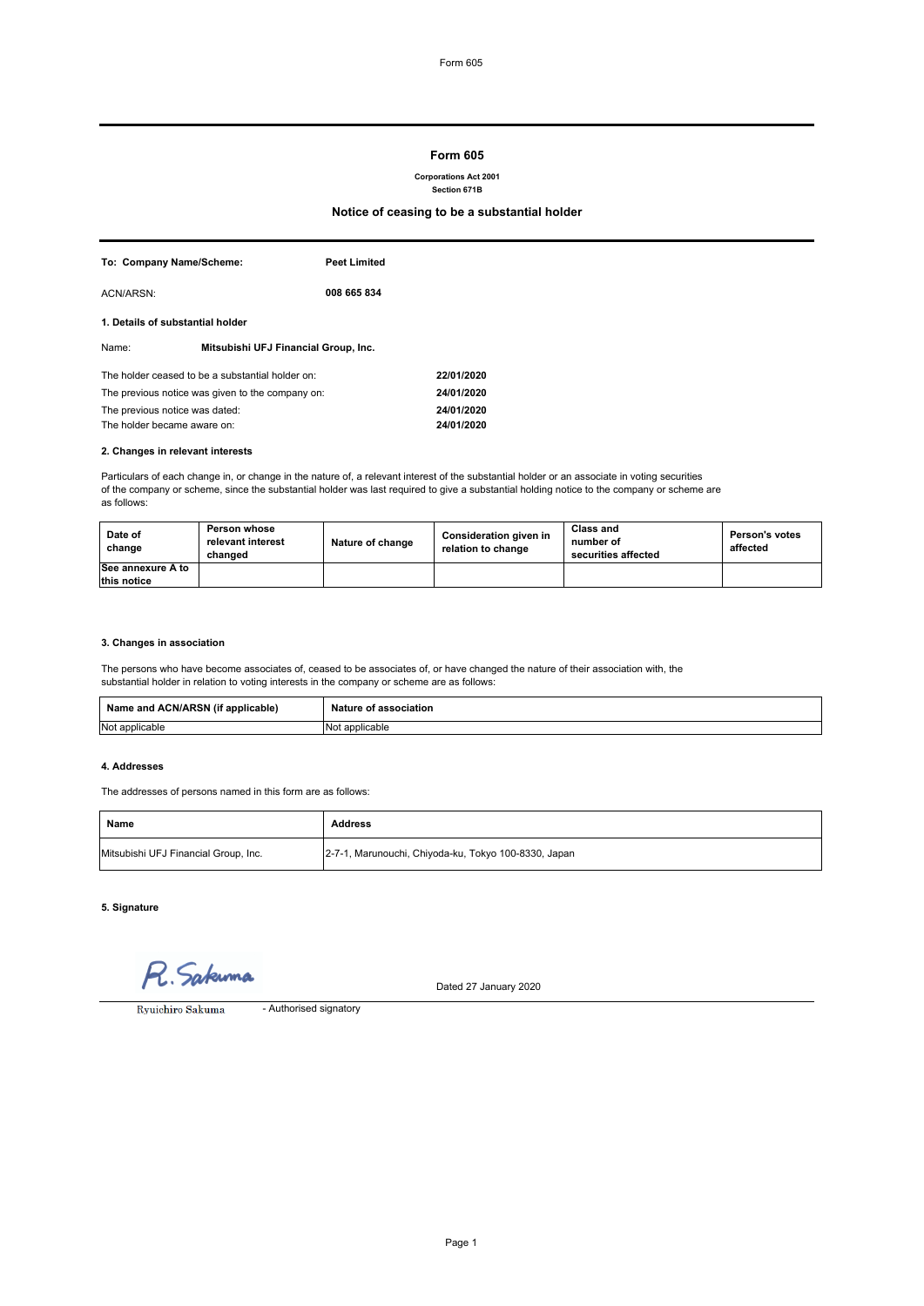# **Form 605**

**Corporations Act 2001**

**Section 671B**

# **Notice of ceasing to be a substantial holder**

The holder ceased to be a substantial holder on: **22/01/2020** The previous notice was given to the company on: **24/01/2020** The previous notice was dated: **24/01/2020**

| To: Company Name/Scheme:                         |                                      | <b>Peet Limited</b> |  |  |
|--------------------------------------------------|--------------------------------------|---------------------|--|--|
| ACN/ARSN:                                        |                                      | 008 665 834         |  |  |
| 1. Details of substantial holder                 |                                      |                     |  |  |
| Name:                                            | Mitsubishi UFJ Financial Group, Inc. |                     |  |  |
| The holder ceased to be a substantial holder on: |                                      |                     |  |  |
| The previous notice was given to the company on: |                                      |                     |  |  |
| The previous notice was dated:                   |                                      |                     |  |  |

The holder became aware on: **24/01/2020**

**2. Changes in relevant interests**

Particulars of each change in, or change in the nature of, a relevant interest of the substantial holder or an associate in voting securities of the company or scheme, since the substantial holder was last required to give a substantial holding notice to the company or scheme are as follows:

| Date of<br>change                | Person whose<br>relevant interest<br>changed | Nature of change | Consideration given in<br>relation to change | Class and<br>number of<br>securities affected | <b>Person's votes</b><br>affected |
|----------------------------------|----------------------------------------------|------------------|----------------------------------------------|-----------------------------------------------|-----------------------------------|
| See annexure A to<br>this notice |                                              |                  |                                              |                                               |                                   |

### **3. Changes in association**

The persons who have become associates of, ceased to be associates of, or have changed the nature of their association with, the substantial holder in relation to voting interests in the company or scheme are as follows:

| Name and ACN/ARSN (if applicable) | Nature of association |
|-----------------------------------|-----------------------|
| Not applicable                    | INot applicable       |

#### **4. Addresses**

The addresses of persons named in this form are as follows:

| Name                                 | <b>Address</b>                                       |
|--------------------------------------|------------------------------------------------------|
| Mitsubishi UFJ Financial Group, Inc. | 2-7-1, Marunouchi, Chiyoda-ku, Tokyo 100-8330, Japan |

**5. Signature**

Sakuma

Dated 27 January 2020

Ryuichiro Sakuma | The Authorised signatory